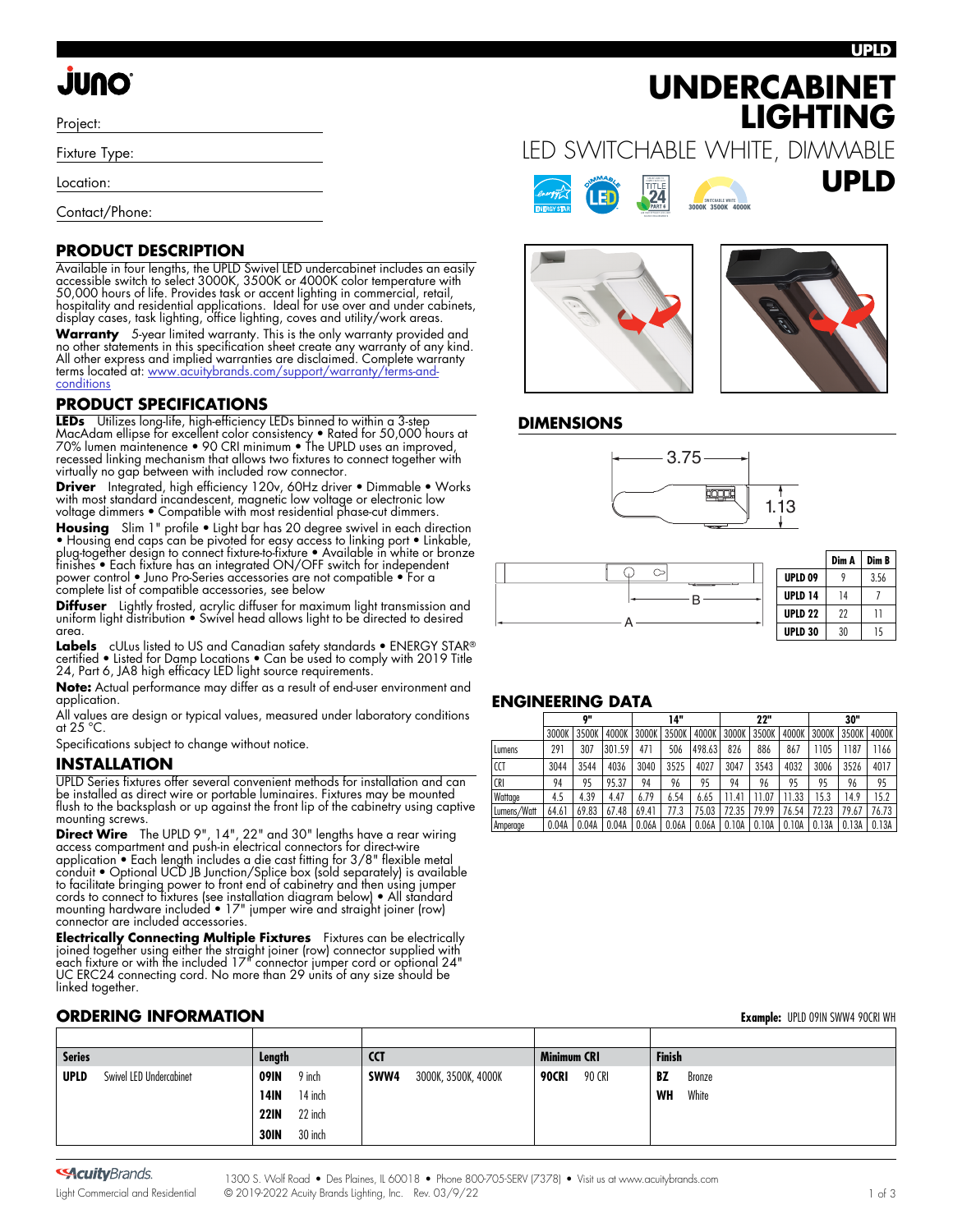#### **UPLD**

**UPLD**

# **ONUL**

Project:

Fixture Type:

Location:

Contact/Phone:

### **PRODUCT DESCRIPTION**

Available in four lengths, the UPLD Swivel LED undercabinet includes an easily accessible switch to select 3000K, 3500K or 4000K color temperature with 50,000 hours of life. Provides task or accent lighting in commercial, retail, hospitality and residential applications. Ideal for use over and under cabinets, display cases, task lighting, office lighting, coves and utility/work areas.

**Warranty** 5-year limited warranty. This is the only warranty provided and no other statements in this specification sheet create any warranty of any kind. All other express and implied warranties are disclaimed. Complete warranty terms located at: [www.acuitybrands.com/support/warranty/terms-and](https://www.acuitybrands.com/support/warranty/terms-and-conditions)**[conditions](https://www.acuitybrands.com/support/warranty/terms-and-conditions)** 

### **PRODUCT SPECIFICATIONS**

**LEDs** Utilizes long-life, high-efficiency LEDs binned to within a 3-step MacAdam ellipse for excellent color consistency • Rated for 50,000 hours at 70% lumen maintenence • 90 CRI minimum • The UPLD uses an improved, recessed linking mechanism that allows two fixtures to connect together with virtually no gap between with included row connector.

Driver Integrated, high efficiency 120v, 60Hz driver · Dimmable · Works with most standard incandescent, magnetic low voltage or electronic low voltage dimmers • Compatible with most residential phase-cut dimmers.

Housing Slim 1" profile • Light bar has 20 degree swivel in each direction • Housing end caps can be pivoted for easy access to linking port • Linkable, plug-together design to connect fixture-to-fixture • Available in white or bronze finishes • Each fixture has an integrated ON/OFF switch for independent power control • Juno Pro-Series accessories are not compatible • For a complete list of compatible accessories, see below

**Diffuser** Lightly frosted, acrylic diffuser for maximum light transmission and uniform light distribution • Swivel head allows light to be directed to desired area.

Labels cULus listed to US and Canadian safety standards • ENERGY STAR® certified • Listed for Damp Locations • Can be used to comply with 2019 Title 24, Part 6, JA8 high efficacy LED light source requirements.

**Note:** Actual performance may differ as a result of end-user environment and application.

All values are design or typical values, measured under laboratory conditions at 25 °C.

Specifications subject to change without notice.

#### **INSTALLATION**

UPLD Series f[ix](http://www.junolightinggroup.com/spec/D3_1_9.pdf)tures offer several convenient methods for installation and can be installed as direct wire or portable luminaires. Fixtures may be mounted flush to the backsplash or up against the front lip of the cabinetry using captive mounting screws.

**Direct Wire** The UPLD 9", 14", 22" and 30" lengths have a rear wiring access compartment and push-in electrical connectors for direct-wire application • Each length includes a die cast fitting for 3/8" flexible metal conduit • Optional UCD JB Junction/Splice box (sold separately) is available to facilitate bringing power to front end of cabinetry and then using jumper cords to connect to fixtures (see installation diagram below) • All standard mounting hardware included • 17" jumper wire and straight joiner (row) connector are included accessories.

**Electrically Connecting Multiple Fixtures** Fixtures can be electrically joined together using either the straight joiner (row) connector supplied with each fixture or with the included 17" connector jumper cord or optional 24" UC ERC24 connecting cord. No more than 29 units of any size should be linked together.

# LED SWITCHABLE WHITE, DIMMABLE **SWITCHABLE WHITE BLANC COMMUTABLE SWITCHABLE WHITE**

**1,100 LUMENS - 5,200 LUMENS**

**UNDERCABINET** 

**3000K 3500K 4000K 4000K 4000K 4000K 4000K 4000K 4000K 4000K 4000K 4000K 4000K 4000K 4000K 4000K 4000K 4000K 4000K SWITCH 3000K 3500K 4000K SWITCHABLE WHITE**

> 2700 Soft White/Blanc doux/Blanco suave 3000 Warm White/Blanc chaud/Blanco cálido 3500 Neutral White/Blanc neutre/Blanco neutro 4000 Cool White/Blanc froid/Blanco frio 5000/6000 Daylight/Lumière du jour/Iluminación natural

Colors used to represent CCTs

PMS

10%

**2700K 3000K 3500K 4000K 5000K SWITCH BLANC COMMUNIST** 

**3000K 4000K 5000K BLANC COMMUTABLE**

90%

PMS  $2707$  $-$ 



**LIGHTING**

### **DIMENSIONS**





|                    | Dim A | Dim B |  |  |
|--------------------|-------|-------|--|--|
| <b>UPLD 09</b>     |       | 3.56  |  |  |
| <b>UPLD 14</b>     | 14    |       |  |  |
| UPLD <sub>22</sub> | 22    | 11    |  |  |
| <b>UPLD 30</b>     | 30    | 15    |  |  |

### **ENGINEERING DATA**

|             | o"    |       |        | 14"   |       |        | 22"               |       |       | 30"   |       |       |
|-------------|-------|-------|--------|-------|-------|--------|-------------------|-------|-------|-------|-------|-------|
|             | 3000K | 3500K | 4000K  | 3000K | 3500K | 4000K  | 3000K             | 3500K | 4000K | 3000K | 3500K | 4000K |
| Lumens      | 291   | 307   | 301.59 | 471   | 506   | 498.63 | 826               | 886   | 867   | 1105  | 1187  | 1166  |
| CCT         | 3044  | 3544  | 4036   | 3040  | 3525  | 4027   | 3047              | 3543  | 4032  | 3006  | 3526  | 4017  |
| CRI         | 94    | 95    | 95.37  | 94    | 96    | 95     | 94                | 96    | 95    | 95    | 96    | 95    |
| Wattage     | 4.5   | 4.39  | 4.47   | 6.79  | 6.54  | 6.65   | 11.4 <sup>1</sup> | 11.07 | 11.33 | 15.3  | 14.9  | 15.2  |
| Lumens/Watt | 64.61 | 69.83 | 67.48  | 69.41 | 77.3  | 75.03  | 72.35             | 79.99 | 76.54 | 72.23 | 79.67 | 76.73 |
| Amperage    | 0.04A | 0.04A | 0.04A  | 0.06A | 0.06A | 0.06A  | 0.10A             | 0.10A | 0.10A | 0.13A | 0.13A | 0.13A |

### **ORDERING INFORMATION Example:** UPLD 09IN SWW4 90CRI WH

|               | $\bullet$ . Finite the state of $\bullet$ |             |         |            |                     |                    |        |               | <b>EAMILIPIC:</b> ULLD UTILI JIIII I TUCKI IIII |
|---------------|-------------------------------------------|-------------|---------|------------|---------------------|--------------------|--------|---------------|-------------------------------------------------|
|               |                                           |             |         |            |                     |                    |        |               |                                                 |
| <b>Series</b> |                                           | Length      |         | <b>CCT</b> |                     | <b>Minimum CRI</b> |        | <b>Finish</b> |                                                 |
| <b>UPLD</b>   | Swivel LED Undercabinet                   | 09IN        | 9 inch  | SWW4       | 3000K, 3500K, 4000K | 90CRI              | 90 CRI | BZ            | Bronze                                          |
|               |                                           | 14IN        | 14 inch |            |                     |                    |        | WH            | White                                           |
|               |                                           | <b>22IN</b> | 22 inch |            |                     |                    |        |               |                                                 |
|               |                                           | <b>30IN</b> | 30 inch |            |                     |                    |        |               |                                                 |

**SAcuity**Brands.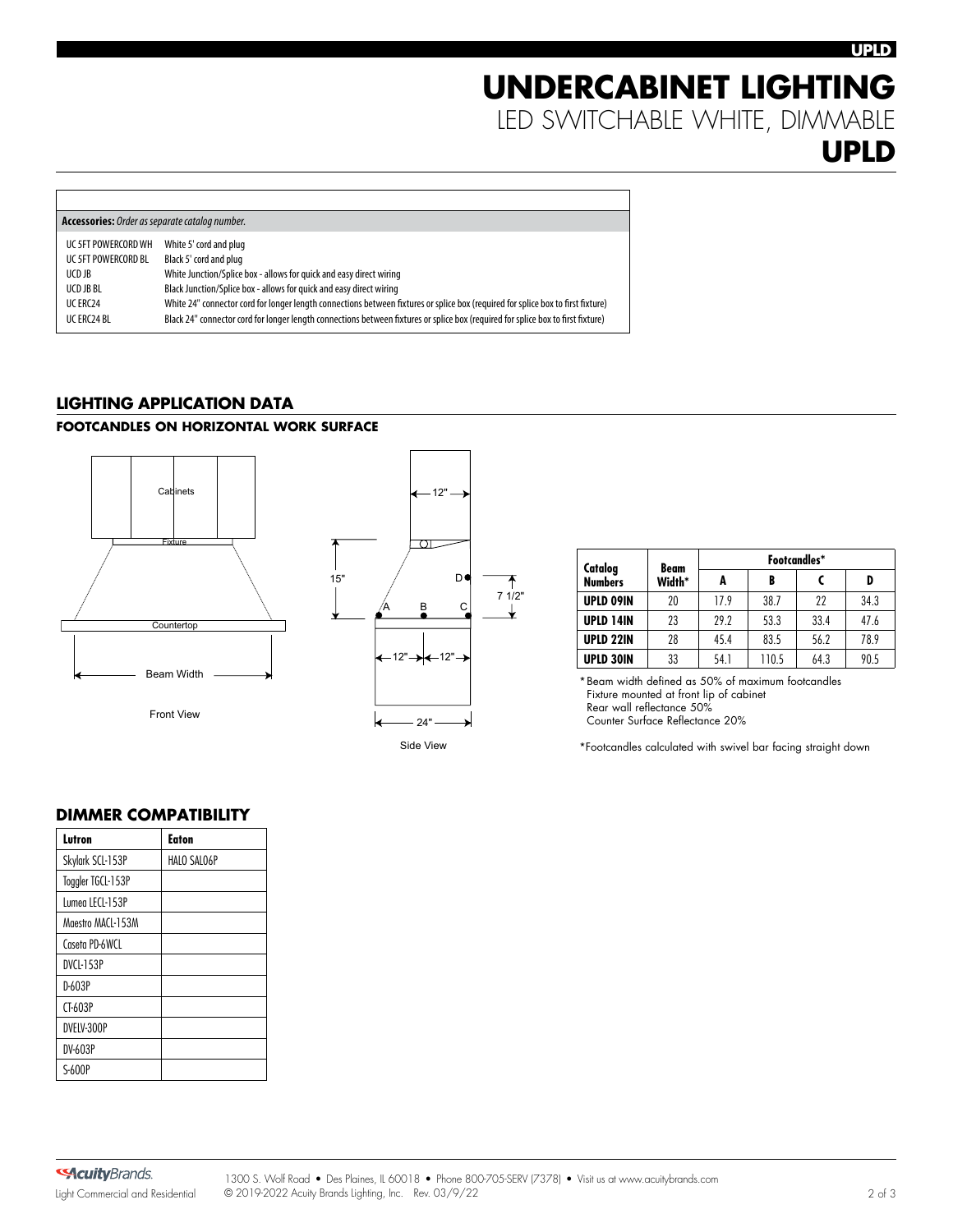# **UNDERCABINET LIGHTING** LED SWITCHABLE WHITE, DIMMABLE **UPLD**

| <b>Accessories:</b> Order as separate catalog number. |                                                                                                                                  |  |  |  |
|-------------------------------------------------------|----------------------------------------------------------------------------------------------------------------------------------|--|--|--|
| UC 5FT POWERCORD WH                                   | White 5' cord and plug                                                                                                           |  |  |  |
| UC 5FT POWERCORD BL                                   | Black 5' cord and plug                                                                                                           |  |  |  |
| UCD JB                                                | White Junction/Splice box - allows for quick and easy direct wiring                                                              |  |  |  |
| UCD JB BL                                             | Black Junction/Splice box - allows for quick and easy direct wiring                                                              |  |  |  |
| UC ERC24                                              | White 24" connector cord for longer length connections between fixtures or splice box (required for splice box to first fixture) |  |  |  |
| UC ERC24 BL                                           | Black 24" connector cord for longer length connections between fixtures or splice box (required for splice box to first fixture) |  |  |  |
|                                                       |                                                                                                                                  |  |  |  |

## **LIGHTING APPLICATION DATA**

### **FOOTCANDLES ON HORIZONTAL WORK SURFACE**



Front View



| Catalog<br><b>Numbers</b> | Beam<br>Width* | Footcandles* |       |      |      |  |  |
|---------------------------|----------------|--------------|-------|------|------|--|--|
|                           |                | A            | B     |      | D    |  |  |
| <b>UPLD 09IN</b>          | 20             | 17.9         | 38.7  | 22   | 34.3 |  |  |
| UPLD 14IN                 | 23             | 29.2         | 53.3  | 33.4 | 47.6 |  |  |
| UPLD 22IN                 | 28             | 45.4         | 83.5  | 56.2 | 78.9 |  |  |
| <b>UPLD 30IN</b>          | 33             | 54.1         | 110.5 | 64.3 | 90.5 |  |  |

\*Beam width defined as 50% of maximum footcandles Fixture mounted at front lip of cabinet Rear wall reflectance 50% Counter Surface Reflectance 20%

\*Footcandles calculated with swivel bar facing straight down

## **DIMMER COMPATIBILITY**

| <b>Eaton</b> |
|--------------|
| HALO SALO6P  |
|              |
|              |
|              |
|              |
|              |
|              |
|              |
|              |
|              |
|              |
|              |